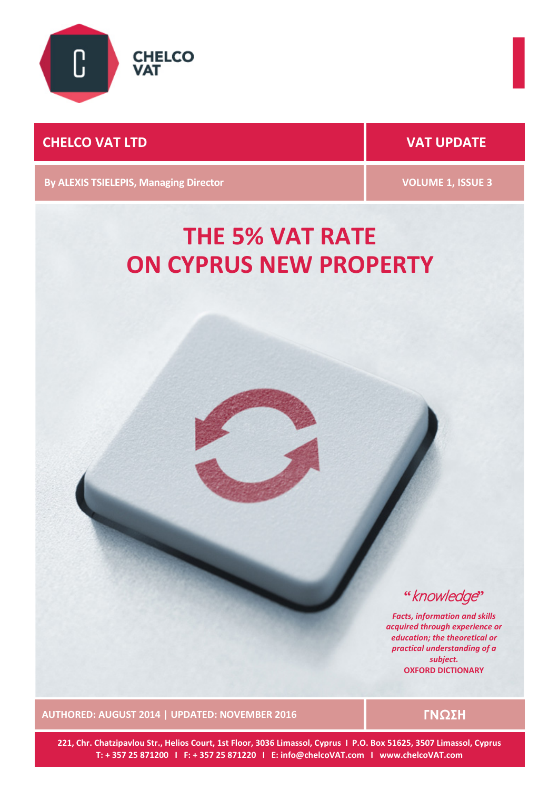

# **CHELCO VAT LTD VAT UPDATE**

**By ALEXIS TSIELEPIS, Managing Director VOLUME 1, ISSUE 3** 

# **THE 5% VAT RATE ON CYPRUS NEW PROPERTY**

**"**knowledge**"**

*Facts, information and skills acquired through experience or education; the theoretical or practical understanding of a subject.* **OXFORD DICTIONARY**

**AUTHORED: AUGUST 2014 | UPDATED: NOVEMBER 2016 ΓΝΩΣΗ**

**221, Chr. Chatzipavlou Str., Helios Court, 1st Floor, 3036 Limassol, Cyprus I P.O. Box 51625, 3507 Limassol, Cyprus T: + 357 25 871200 I F: + 357 25 871220 I E: info@chelcoVAT.com I www.chelcoVAT.com**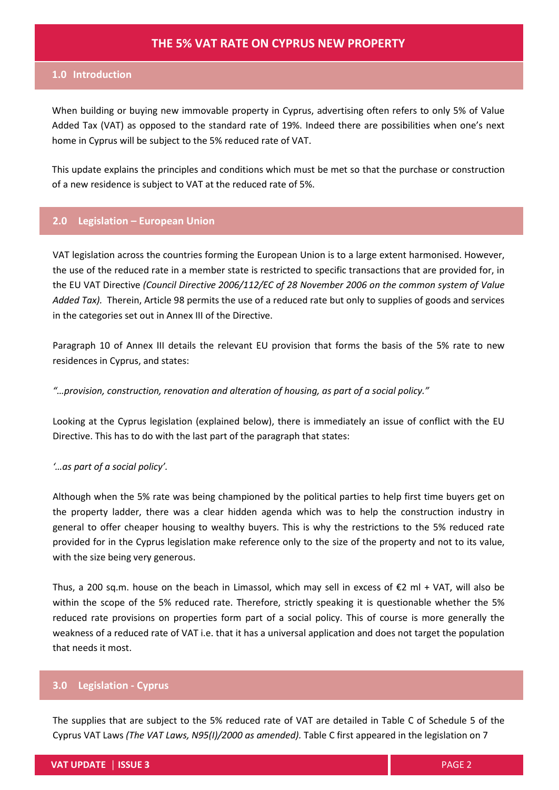#### **1.0 Introduction**

When building or buying new immovable property in Cyprus, advertising often refers to only 5% of Value Added Tax (VAT) as opposed to the standard rate of 19%. Indeed there are possibilities when one's next home in Cyprus will be subject to the 5% reduced rate of VAT.

This update explains the principles and conditions which must be met so that the purchase or construction of a new residence is subject to VAT at the reduced rate of 5%.

## **2.0 Legislation – European Union**

VAT legislation across the countries forming the European Union is to a large extent harmonised. However, the use of the reduced rate in a member state is restricted to specific transactions that are provided for, in the EU VAT Directive *(Council Directive 2006/112/EC of 28 November 2006 on the common system of Value Added Tax).* Therein, Article 98 permits the use of a reduced rate but only to supplies of goods and services in the categories set out in Annex III of the Directive.

Paragraph 10 of Annex III details the relevant EU provision that forms the basis of the 5% rate to new residences in Cyprus, and states:

#### *"…provision, construction, renovation and alteration of housing, as part of a social policy."*

Looking at the Cyprus legislation (explained below), there is immediately an issue of conflict with the EU Directive. This has to do with the last part of the paragraph that states:

#### *'…as part of a social policy'.*

Although when the 5% rate was being championed by the political parties to help first time buyers get on the property ladder, there was a clear hidden agenda which was to help the construction industry in general to offer cheaper housing to wealthy buyers. This is why the restrictions to the 5% reduced rate provided for in the Cyprus legislation make reference only to the size of the property and not to its value, with the size being very generous.

Thus, a 200 sq.m. house on the beach in Limassol, which may sell in excess of  $\epsilon$ 2 ml + VAT, will also be within the scope of the 5% reduced rate. Therefore, strictly speaking it is questionable whether the 5% reduced rate provisions on properties form part of a social policy. This of course is more generally the weakness of a reduced rate of VAT i.e. that it has a universal application and does not target the population that needs it most.

#### **3.0 Legislation - Cyprus**

The supplies that are subject to the 5% reduced rate of VAT are detailed in Table C of Schedule 5 of the Cyprus VAT Laws *(The VAT Laws, N95(I)/2000 as amended).* Table C first appeared in the legislation on 7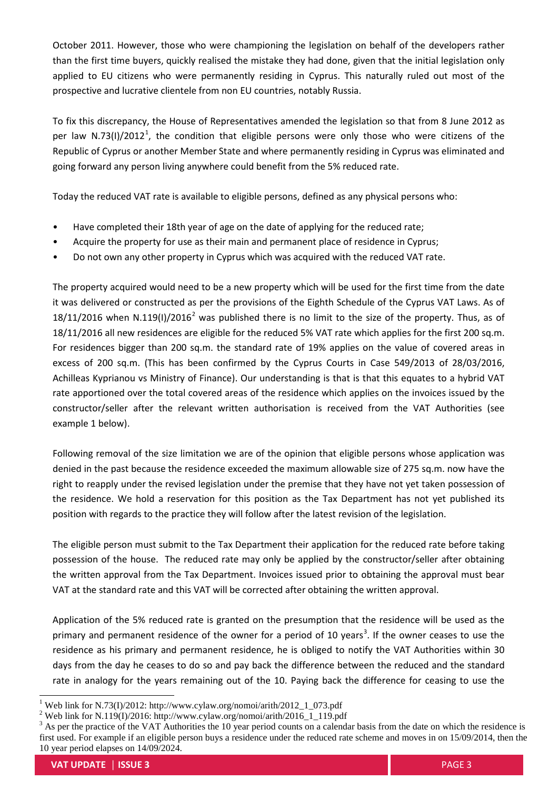October 2011. However, those who were championing the legislation on behalf of the developers rather than the first time buyers, quickly realised the mistake they had done, given that the initial legislation only applied to EU citizens who were permanently residing in Cyprus. This naturally ruled out most of the prospective and lucrative clientele from non EU countries, notably Russia.

To fix this discrepancy, the House of Representatives amended the legislation so that from 8 June 2012 as per law N.73(I)/20[1](#page-2-0)2<sup>1</sup>, the condition that eligible persons were only those who were citizens of the Republic of Cyprus or another Member State and where permanently residing in Cyprus was eliminated and going forward any person living anywhere could benefit from the 5% reduced rate.

Today the reduced VAT rate is available to eligible persons, defined as any physical persons who:

- Have completed their 18th year of age on the date of applying for the reduced rate;
- Acquire the property for use as their main and permanent place of residence in Cyprus;
- Do not own any other property in Cyprus which was acquired with the reduced VAT rate.

The property acquired would need to be a new property which will be used for the first time from the date it was delivered or constructed as per the provisions of the Eighth Schedule of the Cyprus VAT Laws. As of  $18/11/2016$  $18/11/2016$  $18/11/2016$  when N.119(I)/2016<sup>2</sup> was published there is no limit to the size of the property. Thus, as of 18/11/2016 all new residences are eligible for the reduced 5% VAT rate which applies for the first 200 sq.m. For residences bigger than 200 sq.m. the standard rate of 19% applies on the value of covered areas in excess of 200 sq.m. (This has been confirmed by the Cyprus Courts in Case 549/2013 of 28/03/2016, Achilleas Kyprianou vs Ministry of Finance). Our understanding is that is that this equates to a hybrid VAT rate apportioned over the total covered areas of the residence which applies on the invoices issued by the constructor/seller after the relevant written authorisation is received from the VAT Authorities (see example 1 below).

Following removal of the size limitation we are of the opinion that eligible persons whose application was denied in the past because the residence exceeded the maximum allowable size of 275 sq.m. now have the right to reapply under the revised legislation under the premise that they have not yet taken possession of the residence. We hold a reservation for this position as the Tax Department has not yet published its position with regards to the practice they will follow after the latest revision of the legislation.

The eligible person must submit to the Tax Department their application for the reduced rate before taking possession of the house. The reduced rate may only be applied by the constructor/seller after obtaining the written approval from the Tax Department. Invoices issued prior to obtaining the approval must bear VAT at the standard rate and this VAT will be corrected after obtaining the written approval.

Application of the 5% reduced rate is granted on the presumption that the residence will be used as the primary and permanent residence of the owner for a period of 10 years<sup>[3](#page-2-2)</sup>. If the owner ceases to use the residence as his primary and permanent residence, he is obliged to notify the VAT Authorities within 30 days from the day he ceases to do so and pay back the difference between the reduced and the standard rate in analogy for the years remaining out of the 10. Paying back the difference for ceasing to use the

<span id="page-2-2"></span><span id="page-2-1"></span>

<span id="page-2-0"></span><sup>&</sup>lt;sup>1</sup> Web link for N.73(I)/2012: http://www.cylaw.org/nomoi/arith/2012\_1\_073.pdf<br><sup>2</sup> Web link for N.119(I)/2016: http://www.cylaw.org/nomoi/arith/2016\_1\_119.pdf<br><sup>3</sup> As per the practice of the VAT Authorities the 10 year per first used. For example if an eligible person buys a residence under the reduced rate scheme and moves in on 15/09/2014, then the 10 year period elapses on 14/09/2024.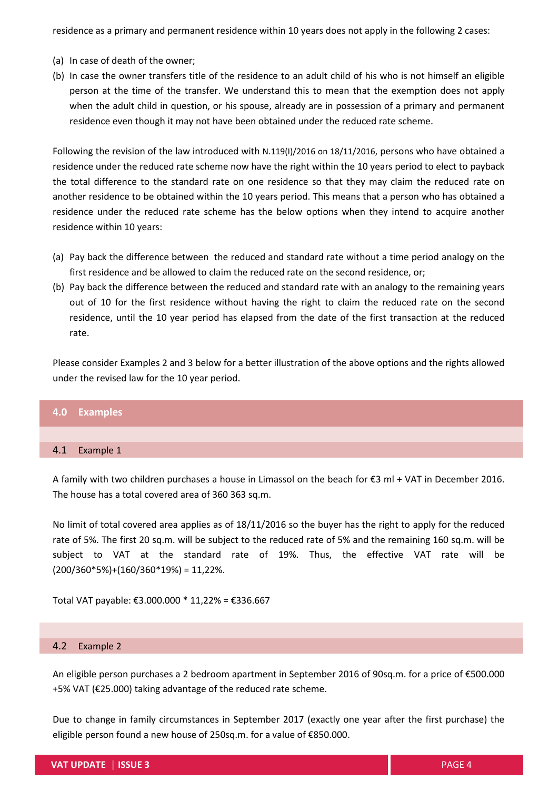residence as a primary and permanent residence within 10 years does not apply in the following 2 cases:

- (a) In case of death of the owner;
- (b) In case the owner transfers title of the residence to an adult child of his who is not himself an eligible person at the time of the transfer. We understand this to mean that the exemption does not apply when the adult child in question, or his spouse, already are in possession of a primary and permanent residence even though it may not have been obtained under the reduced rate scheme.

Following the revision of the law introduced with N.119(I)/2016 on 18/11/2016, persons who have obtained a residence under the reduced rate scheme now have the right within the 10 years period to elect to payback the total difference to the standard rate on one residence so that they may claim the reduced rate on another residence to be obtained within the 10 years period. This means that a person who has obtained a residence under the reduced rate scheme has the below options when they intend to acquire another residence within 10 years:

- (a) Pay back the difference between the reduced and standard rate without a time period analogy on the first residence and be allowed to claim the reduced rate on the second residence, or;
- (b) Pay back the difference between the reduced and standard rate with an analogy to the remaining years out of 10 for the first residence without having the right to claim the reduced rate on the second residence, until the 10 year period has elapsed from the date of the first transaction at the reduced rate.

Please consider Examples 2 and 3 below for a better illustration of the above options and the rights allowed under the revised law for the 10 year period.

#### **4.0 Examples**

#### 4.1 Example 1

A family with two children purchases a house in Limassol on the beach for €3 ml + VAT in December 2016. The house has a total covered area of 360 363 sq.m.

No limit of total covered area applies as of 18/11/2016 so the buyer has the right to apply for the reduced rate of 5%. The first 20 sq.m. will be subject to the reduced rate of 5% and the remaining 160 sq.m. will be subject to VAT at the standard rate of 19%. Thus, the effective VAT rate will be  $(200/360*5%)+(160/360*19%) = 11,22%$ .

Total VAT payable: €3.000.000 \* 11,22% = €336.667

#### 4.2 Example 2

An eligible person purchases a 2 bedroom apartment in September 2016 of 90sq.m. for a price of €500.000 +5% VAT (€25.000) taking advantage of the reduced rate scheme.

Due to change in family circumstances in September 2017 (exactly one year after the first purchase) the eligible person found a new house of 250sq.m. for a value of €850.000.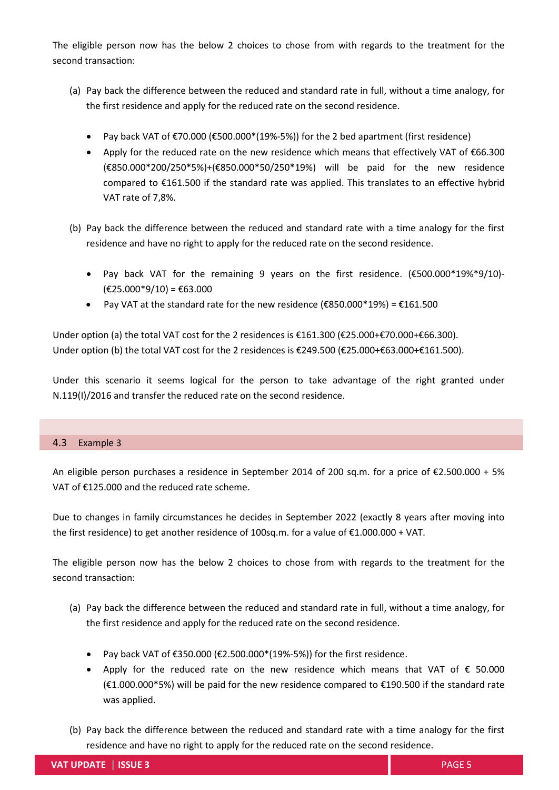The eligible person now has the below 2 choices to chose from with regards to the treatment for the second transaction:

- (a) Pay back the difference between the reduced and standard rate in full, without a time analogy, for the first residence and apply for the reduced rate on the second residence.
	- Pay back VAT of  $\text{\textsterling}70.000$  ( $\text{\textsterling}500.000$ \*(19%-5%)) for the 2 bed apartment (first residence)
	- Apply for the reduced rate on the new residence which means that effectively VAT of €66.300 (€850.000\*200/250\*5%)+(€850.000\*50/250\*19%) will be paid for the new residence compared to €161.500 if the standard rate was applied. This translates to an effective hybrid VAT rate of 7,8%.
- (b) Pay back the difference between the reduced and standard rate with a time analogy for the first residence and have no right to apply for the reduced rate on the second residence.
	- Pay back VAT for the remaining 9 years on the first residence. (€500.000\*19%\*9/10)-  $(E25.000*9/10) = E63.000$
	- Pay VAT at the standard rate for the new residence ( $\epsilon$ 850.000\*19%) =  $\epsilon$ 161.500

Under option (a) the total VAT cost for the 2 residences is €161.300 (€25.000+€70.000+€66.300). Under option (b) the total VAT cost for the 2 residences is €249.500 (€25.000+€63.000+€161.500).

Under this scenario it seems logical for the person to take advantage of the right granted under Ν.119(Ι)/2016 and transfer the reduced rate on the second residence.

### 4.3 Example 3

An eligible person purchases a residence in September 2014 of 200 sq.m. for a price of €2.500.000 + 5% VAT of €125.000 and the reduced rate scheme.

Due to changes in family circumstances he decides in September 2022 (exactly 8 years after moving into the first residence) to get another residence of 100sq.m. for a value of €1.000.000 + VAT.

The eligible person now has the below 2 choices to chose from with regards to the treatment for the second transaction:

- (a) Pay back the difference between the reduced and standard rate in full, without a time analogy, for the first residence and apply for the reduced rate on the second residence.
	- Pay back VAT of €350.000 (€2.500.000\*(19%-5%)) for the first residence.
	- Apply for the reduced rate on the new residence which means that VAT of € 50.000 (€1.000.000\*5%) will be paid for the new residence compared to €190.500 if the standard rate was applied.
- (b) Pay back the difference between the reduced and standard rate with a time analogy for the first residence and have no right to apply for the reduced rate on the second residence.